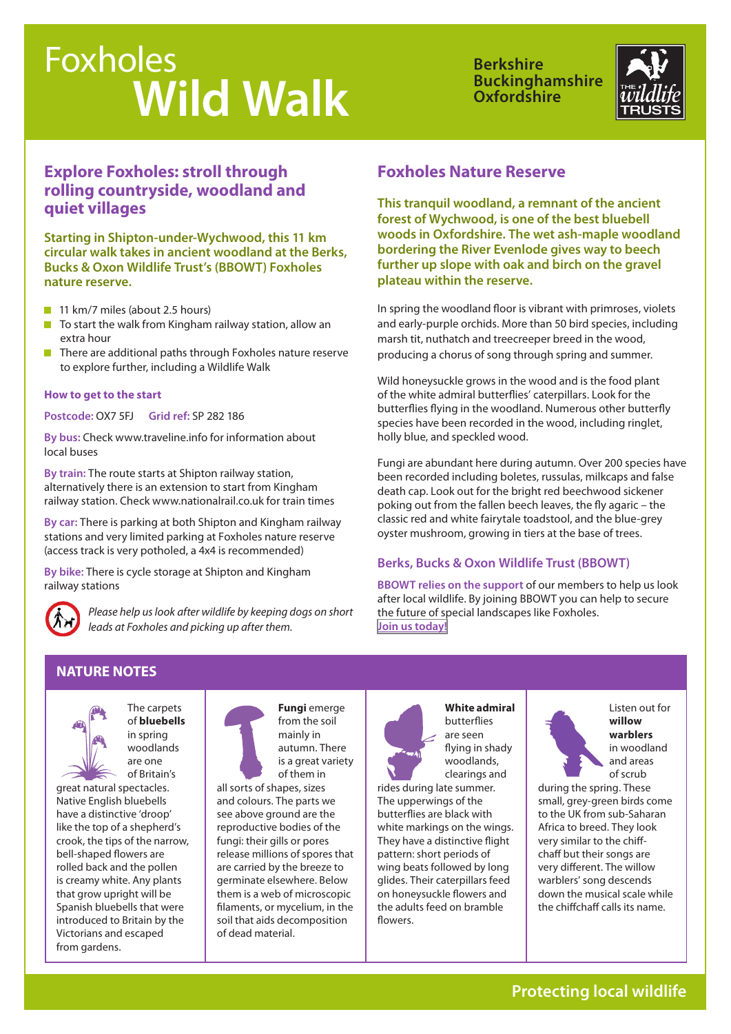# Foxholes  **Wild Walk**

**Berkshire Buckinghamshire Oxfordshire**



## **Explore Foxholes: stroll through rolling countryside, woodland and quiet villages**

**Starting in Shipton-under-Wychwood, this 11 km circular walk takes in ancient woodland at the Berks, Bucks & Oxon Wildlife Trust's (BBOWT) Foxholes nature reserve.**

- 11 km/7 miles (about 2.5 hours)
- $\blacksquare$  To start the walk from Kingham railway station, allow an extra hour
- $\blacksquare$  There are additional paths through Foxholes nature reserve to explore further, including a Wildlife Walk

#### **How to get to the start**

**Postcode:** OX7 5FJ **Grid ref:** SP 282 186

**By bus:** Check www.traveline.info for information about local buses

**By train:** The route starts at Shipton railway station, alternatively there is an extension to start from Kingham railway station. Check www.nationalrail.co.uk for train times

**By car:** There is parking at both Shipton and Kingham railway stations and very limited parking at Foxholes nature reserve (access track is very potholed, a 4x4 is recommended)

**By bike:** There is cycle storage at Shipton and Kingham railway stations



*Please help us look after wildlife by keeping dogs on short leads at Foxholes and picking up after them.*

## **Foxholes Nature Reserve**

**This tranquil woodland, a remnant of the ancient forest of Wychwood, is one of the best bluebell woods in Oxfordshire. The wet ash-maple woodland bordering the River Evenlode gives way to beech further up slope with oak and birch on the gravel plateau within the reserve.** 

In spring the woodland floor is vibrant with primroses, violets and early-purple orchids. More than 50 bird species, including marsh tit, nuthatch and treecreeper breed in the wood, producing a chorus of song through spring and summer.

Wild honeysuckle grows in the wood and is the food plant of the white admiral butterflies' caterpillars. Look for the butterflies flying in the woodland. Numerous other butterfly species have been recorded in the wood, including ringlet, holly blue, and speckled wood.

Fungi are abundant here during autumn. Over 200 species have been recorded including boletes, russulas, milkcaps and false death cap. Look out for the bright red beechwood sickener poking out from the fallen beech leaves, the fly agaric – the classic red and white fairytale toadstool, and the blue-grey oyster mushroom, growing in tiers at the base of trees.

#### **Berks, Bucks & Oxon Wildlife Trust (BBOWT)**

**BBOWT relies on the support** of our members to help us look after local wildlife. By joining BBOWT you can help to secure the future of special landscapes like Foxholes. **[Join us today!](http://www.bbowt.org.uk/how-you-can-help/join-us)**

#### **NATURE NOTES**



The carpets of **bluebells** in spring woodlands are one of Britain's

great natural spectacles. Native English bluebells have a distinctive 'droop' like the top of a shepherd's crook, the tips of the narrow, bell-shaped flowers are rolled back and the pollen is creamy white. Any plants that grow upright will be Spanish bluebells that were introduced to Britain by the Victorians and escaped from gardens.



all sorts of shapes, sizes and colours. The parts we see above ground are the reproductive bodies of the fungi: their gills or pores release millions of spores that are carried by the breeze to germinate elsewhere. Below them is a web of microscopic filaments, or mycelium, in the soil that aids decomposition of dead material.



**White admiral**  butterflies are seen flying in shady woodlands, clearings and

rides during late summer. The upperwings of the butterflies are black with white markings on the wings. They have a distinctive flight pattern: short periods of wing beats followed by long glides. Their caterpillars feed on honeysuckle flowers and the adults feed on bramble flowers.



during the spring. These small, grey-green birds come to the UK from sub-Saharan Africa to breed. They look very similar to the chiffchaff but their songs are very different. The willow warblers' song descends down the musical scale while the chiffchaff calls its name.